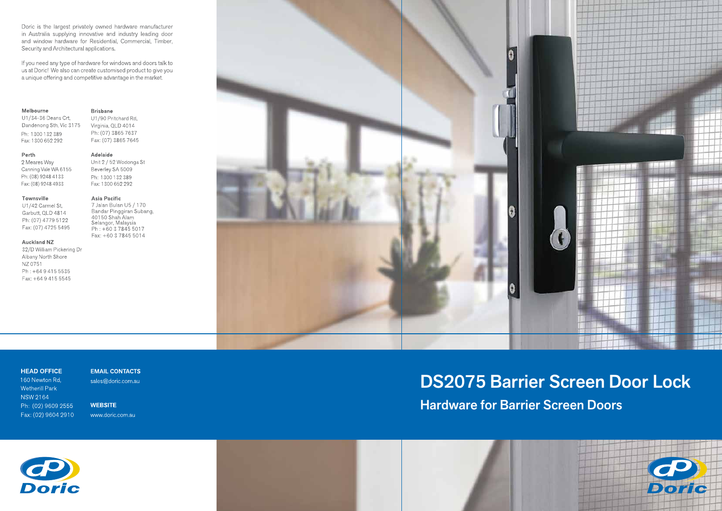Doric is the largest privately owned hardware manufacturer in Australia supplying innovative and industry leading door and window hardware for Residential, Commercial, Timber, Security and Architectural applications.

If you need any type of hardware for windows and doors talk to us at Doric! We also can create customised product to give you a unique offering and competitive advantage in the market.

### Melbourne

U1/34-36 Deans Crt, Dandenong Sth, Vic 3175 Ph: 1300 132 389 Fax: 1300 652 292

### Perth

2 Meares Way Canning Vale WA 6155 Ph: (08) 9248 4133 Fax: (08) 9248 4933

### Townsville

U1/42 Carmel St, Garbutt, QLD 4814 Ph: (07) 4779 5122 Fax: (07) 4725 5495

### **Auckland NZ**

32/D William Pickering Dr Albany North Shore NZ 0751 Ph: +6494155535 Fax: +64 9 415 5545

### **Brisbane**

U1/90 Pritchard Rd, Virginia, QLD 4014 Ph: (07) 3865 7637 Fax: (07) 3865 7645

#### Adelaide

Unit 2 / 52 Wodonga St Beverley SA 5009 Ph: 1300 132 389 Fax: 1300 652 292

### Asia Pacific

7 Jalan Bulan U5 / 170 Bandar Pinggiran Subang, 40150 Shah Alam Selangor, Malaysia Ph: +60 3 7845 5017 Fax: +60 3 7845 5014



## **HEAD OFFICE**

160 Newton Rd, Wetherill Park NSW 2164 Ph: (02) 9609 2555 Fax: (02) 9604 2910

**EMAIL CONTACTS** sales@doric.com.au

**WEBSITE** www.doric.com.au

# **DS2075 Barrier Screen Door Lock Hardware for Barrier Screen Doors**